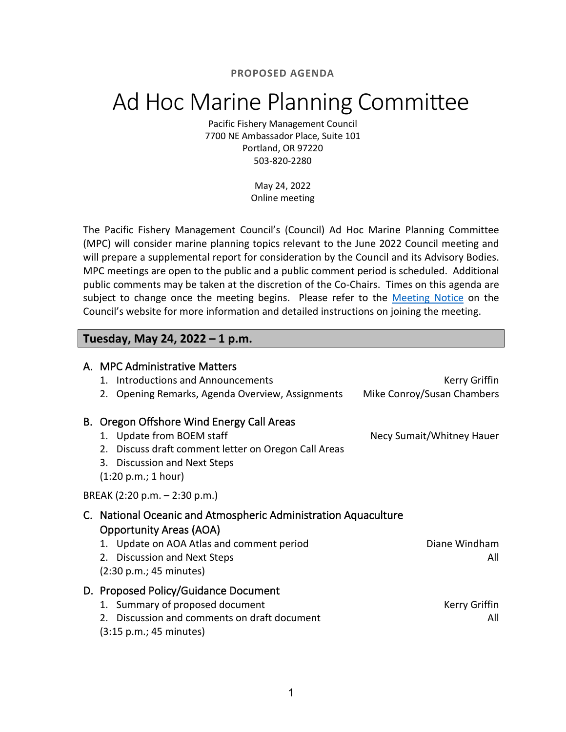**PROPOSED AGENDA**

# Ad Hoc Marine Planning Committee

Pacific Fishery Management Council 7700 NE Ambassador Place, Suite 101 Portland, OR 97220 503-820-2280

> May 24, 2022 Online meeting

The Pacific Fishery Management Council's (Council) Ad Hoc Marine Planning Committee (MPC) will consider marine planning topics relevant to the June 2022 Council meeting and will prepare a supplemental report for consideration by the Council and its Advisory Bodies. MPC meetings are open to the public and a public comment period is scheduled. Additional public comments may be taken at the discretion of the Co-Chairs. Times on this agenda are subject to change once the meeting begins. Please refer to the [Meeting Notice](https://www.pcouncil.org/events/ad-hoc-marine-planning-committee-to-hold-online-meeting-tuesday-may-24-2022/) on the Council's website for more information and detailed instructions on joining the meeting.

## **Tuesday, May 24, 2022 – 1 p.m.**

|                               | A. MPC Administrative Matters<br>Introductions and Announcements<br>1.<br>Opening Remarks, Agenda Overview, Assignments<br>2.                                                              | Kerry Griffin<br>Mike Conroy/Susan Chambers |
|-------------------------------|--------------------------------------------------------------------------------------------------------------------------------------------------------------------------------------------|---------------------------------------------|
|                               | B. Oregon Offshore Wind Energy Call Areas<br>1. Update from BOEM staff<br>Discuss draft comment letter on Oregon Call Areas<br>2.<br>3. Discussion and Next Steps<br>(1:20 p.m.; 1 hour)   | Necy Sumait/Whitney Hauer                   |
| BREAK (2:20 p.m. - 2:30 p.m.) |                                                                                                                                                                                            |                                             |
|                               | C. National Oceanic and Atmospheric Administration Aquaculture<br><b>Opportunity Areas (AOA)</b><br>Update on AOA Atlas and comment period<br>1.<br><b>Discussion and Next Steps</b><br>2. | Diane Windham<br>All                        |
|                               | (2:30 p.m.; 45 minutes)                                                                                                                                                                    |                                             |
|                               | D. Proposed Policy/Guidance Document<br>1. Summary of proposed document<br>Discussion and comments on draft document<br>2.<br>(3:15 p.m.; 45 minutes)                                      | Kerry Griffin<br>All                        |